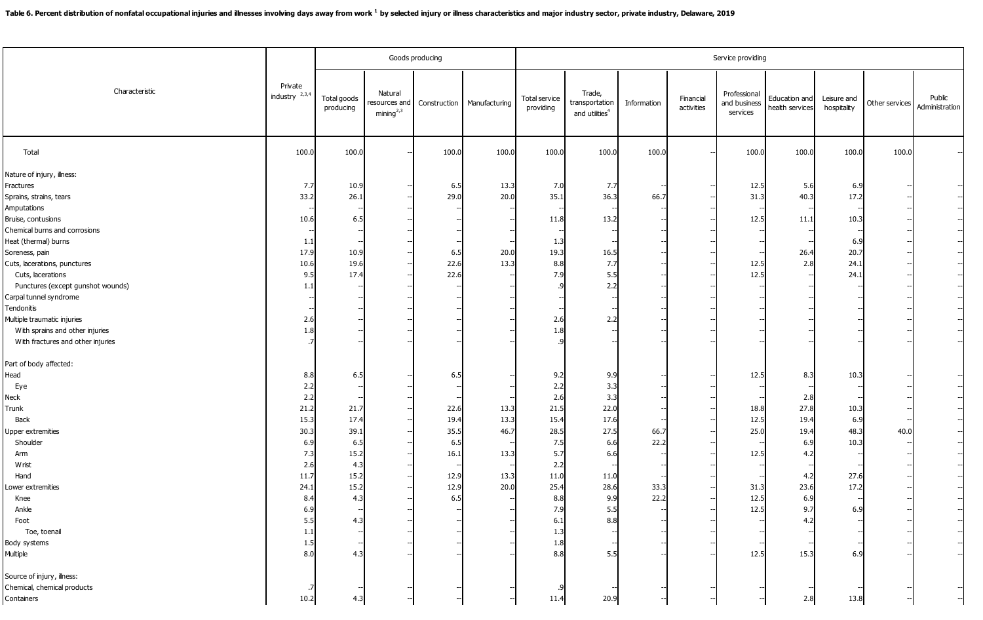|                                                                                                                                                                                                                                                                                                                     |                                                                                                                          |                                                                                        |                                                  | Goods producing                                                  |                                              | Service providing                                                                                                        |                                                                                                    |                              |                         |                                                                      |                                                                                              |                                                                 |                |                          |  |
|---------------------------------------------------------------------------------------------------------------------------------------------------------------------------------------------------------------------------------------------------------------------------------------------------------------------|--------------------------------------------------------------------------------------------------------------------------|----------------------------------------------------------------------------------------|--------------------------------------------------|------------------------------------------------------------------|----------------------------------------------|--------------------------------------------------------------------------------------------------------------------------|----------------------------------------------------------------------------------------------------|------------------------------|-------------------------|----------------------------------------------------------------------|----------------------------------------------------------------------------------------------|-----------------------------------------------------------------|----------------|--------------------------|--|
| Characteristic                                                                                                                                                                                                                                                                                                      | Private<br>industry $2,3,4$                                                                                              | Total goods<br>producing                                                               | Natural<br>esources and<br>mining <sup>2,3</sup> | Construction                                                     | Manufacturing                                | Total service<br>providing                                                                                               | Trade.<br>transportation<br>and utilities <sup>4</sup>                                             | Information                  | Financial<br>activities | Professional<br>and business<br>services                             | Education and<br>health services                                                             | Leisure and<br>hospitality                                      | Other services | Public<br>Administration |  |
| Total                                                                                                                                                                                                                                                                                                               | 100.0                                                                                                                    | 100.0                                                                                  |                                                  | 100.0                                                            | 100.0                                        | 100.0                                                                                                                    | 100.0                                                                                              | 100.0                        |                         | 100.0                                                                | 100.0                                                                                        | 100.0                                                           | 100.0          |                          |  |
| Nature of injury, ilness:<br>Fractures<br>Sprains, strains, tears<br>Amputations<br>Bruise, contusions<br>Chemical burns and corrosions<br>Heat (thermal) burns<br>Soreness, pain<br>Cuts, lacerations, punctures<br>Cuts, lacerations<br>Punctures (except gunshot wounds)<br>Carpal tunnel syndrome<br>Tendonitis | 7.7<br>33.2<br>10.6<br>1.1<br>17.9<br>10.6<br>9.5<br>1.3                                                                 | 10.9<br>26.1<br>6.5<br>10.9<br>19.6<br>17.4                                            |                                                  | 6.5<br>29.0<br>6.5<br>22.6<br>22.6                               | 13.3<br>20.0<br>20.0<br>13.3                 | 7.0<br>35.1<br>11.8<br>1.3<br>19.3<br>8.8<br>7.9                                                                         | 7.7<br>36.3<br>13.2<br>16.<br>7.7<br>5.5<br>2.2                                                    | 66.7                         |                         | 12.5<br>31.3<br>12.5<br>12.5<br>12.5                                 | 5.6<br>40.3<br>11.1<br>26.4<br>2.8                                                           | 6.9<br>17.2<br>10.3<br>6.9<br>20.7<br>24.1<br>24.1              |                |                          |  |
| Multiple traumatic injuries<br>With sprains and other injuries<br>With fractures and other injuries                                                                                                                                                                                                                 | 2.6<br>1.8                                                                                                               |                                                                                        |                                                  |                                                                  |                                              | 2.6<br>1.8                                                                                                               | 2.2                                                                                                |                              |                         |                                                                      |                                                                                              |                                                                 |                |                          |  |
| Part of body affected:<br>Head<br>Eye<br>Neck<br>Trunk<br>Back<br><b>Upper extremities</b><br>Shoulder<br>Arm<br>Wrist<br>Hand<br>ower extremities<br>Knee<br>Ankle<br>Foot<br>Toe, toenal<br>Body systems<br>Multiple                                                                                              | 8.8<br>2.2<br>2.2<br>21.2<br>15.3<br>30.3<br>6.9<br>7.3<br>2.6<br>11.7<br>24.1<br>8.4<br>6.9<br>5.5<br>1.1<br>1.5<br>8.0 | 6.5<br>21.7<br>17.4<br>39.1<br>6.5<br>15.2<br>4.3<br>15.2<br>15.2<br>4.3<br>4.3<br>4.3 |                                                  | 6.5<br>22.6<br>19.4<br>35.5<br>6.5<br>16.<br>12.9<br>12.9<br>6.5 | 13.3<br>13.3<br>46.7<br>13.3<br>13.3<br>20.0 | 9.2<br>2.2<br>2.6<br>21.5<br>15.4<br>28.5<br>7.5<br>5.7<br>2.2<br>11.0<br>25.4<br>8.8<br>7.9<br>6.1<br>1.3<br>1.8<br>8.8 | 9.9<br>3.3<br>3.3<br>22.0<br>17.6<br>27.5<br>6.6<br>6.<br>11.0<br>28.6<br>9.9<br>5.5<br>8.8<br>5.5 | 66.7<br>22.2<br>33.3<br>22.2 |                         | 12.5<br>18.8<br>12.5<br>25.0<br>12.5<br>31.3<br>12.5<br>12.5<br>12.5 | 8.3<br>2.8<br>27.8<br>19.4<br>19.4<br>6.9<br>4.2<br>4.2<br>23.6<br>6.9<br>9.7<br>4.2<br>15.3 | 10.3<br>10.3<br>6.9<br>48.3<br>10.3<br>27.6<br>17.2<br>6.<br>6. | 40.0           |                          |  |
| Source of injury, illness:<br>Chemical, chemical products<br>Containers                                                                                                                                                                                                                                             | 10.2                                                                                                                     | 4.3                                                                                    |                                                  |                                                                  |                                              | 11.4                                                                                                                     | 20.9                                                                                               |                              |                         |                                                                      | 2.8                                                                                          | 13.8                                                            |                |                          |  |